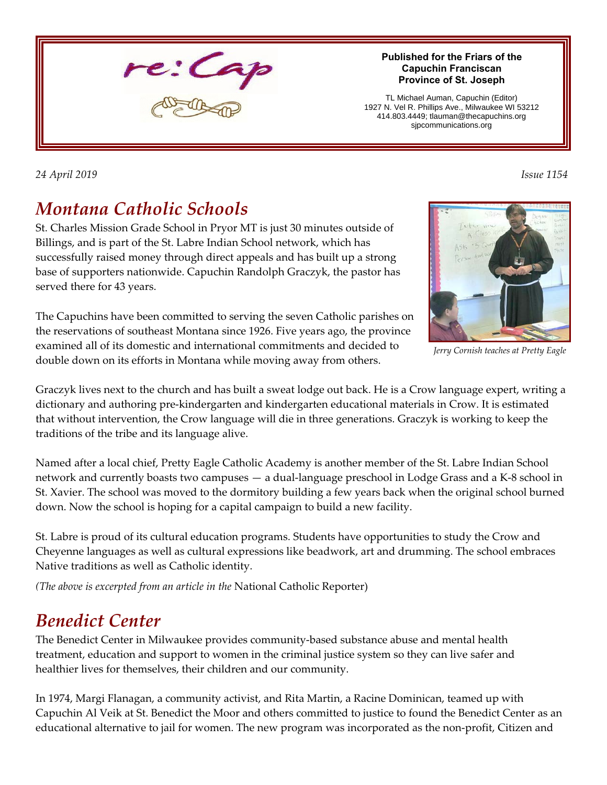

#### **Published for the Friars of the Capuchin Franciscan Province of St. Joseph**

TL Michael Auman, Capuchin (Editor) 1927 N. Vel R. Phillips Ave., Milwaukee WI 53212 414.803.4449; tlauman@thecapuchins.org sjpcommunications.org

*24 April 2019 Issue 1154* 

# *Montana Catholic Schools*

St. Charles Mission Grade School in Pryor MT is just 30 minutes outside of Billings, and is part of the St. Labre Indian School network, which has successfully raised money through direct appeals and has built up a strong base of supporters nationwide. Capuchin Randolph Graczyk, the pastor has served there for 43 years.

The Capuchins have been committed to serving the seven Catholic parishes on the reservations of southeast Montana since 1926. Five years ago, the province examined all of its domestic and international commitments and decided to double down on its efforts in Montana while moving away from others.

*Jerry Cornish teaches at Pretty Eagle*

Graczyk lives next to the church and has built a sweat lodge out back. He is a Crow language expert, writing a dictionary and authoring pre-kindergarten and kindergarten educational materials in Crow. It is estimated that without intervention, the Crow language will die in three generations. Graczyk is working to keep the traditions of the tribe and its language alive.

Named after a local chief, Pretty Eagle Catholic Academy is another member of the St. Labre Indian School network and currently boasts two campuses — a dual-language preschool in Lodge Grass and a K-8 school in St. Xavier. The school was moved to the dormitory building a few years back when the original school burned down. Now the school is hoping for a capital campaign to build a new facility.

St. Labre is proud of its cultural education programs. Students have opportunities to study the Crow and Cheyenne languages as well as cultural expressions like beadwork, art and drumming. The school embraces Native traditions as well as Catholic identity.

*(The above is excerpted from an article in the* National Catholic Reporter)

# *Benedict Center*

The Benedict Center in Milwaukee provides community-based substance abuse and mental health treatment, education and support to women in the criminal justice system so they can live safer and healthier lives for themselves, their children and our community.

In 1974, Margi Flanagan, a community activist, and Rita Martin, a Racine Dominican, teamed up with Capuchin Al Veik at St. Benedict the Moor and others committed to justice to found the Benedict Center as an educational alternative to jail for women. The new program was incorporated as the non-profit, Citizen and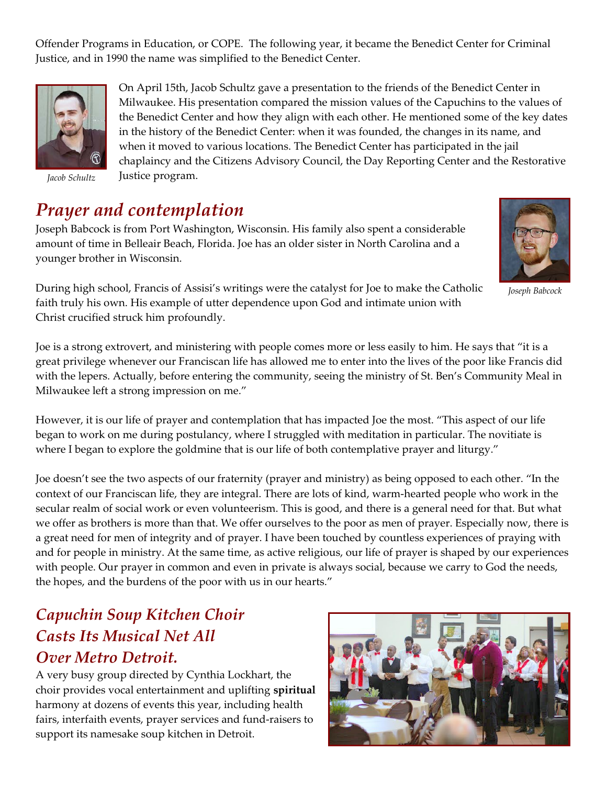Offender Programs in Education, or COPE. The following year, it became the Benedict Center for Criminal Justice, and in 1990 the name was simplified to the Benedict Center.



*Jacob Schultz*

On April 15th, Jacob Schultz gave a presentation to the friends of the Benedict Center in Milwaukee. His presentation compared the mission values of the Capuchins to the values of the Benedict Center and how they align with each other. He mentioned some of the key dates in the history of the Benedict Center: when it was founded, the changes in its name, and when it moved to various locations. The Benedict Center has participated in the jail chaplaincy and the Citizens Advisory Council, the Day Reporting Center and the Restorative Justice program.

### *Prayer and contemplation*

Joseph Babcock is from Port Washington, Wisconsin. His family also spent a considerable amount of time in Belleair Beach, Florida. Joe has an older sister in North Carolina and a younger brother in Wisconsin.



*Joseph Babcock*

During high school, Francis of Assisi's writings were the catalyst for Joe to make the Catholic faith truly his own. His example of utter dependence upon God and intimate union with Christ crucified struck him profoundly.

Joe is a strong extrovert, and ministering with people comes more or less easily to him. He says that "it is a great privilege whenever our Franciscan life has allowed me to enter into the lives of the poor like Francis did with the lepers. Actually, before entering the community, seeing the ministry of St. Ben's Community Meal in Milwaukee left a strong impression on me."

However, it is our life of prayer and contemplation that has impacted Joe the most. "This aspect of our life began to work on me during postulancy, where I struggled with meditation in particular. The novitiate is where I began to explore the goldmine that is our life of both contemplative prayer and liturgy."

Joe doesn't see the two aspects of our fraternity (prayer and ministry) as being opposed to each other. "In the context of our Franciscan life, they are integral. There are lots of kind, warm-hearted people who work in the secular realm of social work or even volunteerism. This is good, and there is a general need for that. But what we offer as brothers is more than that. We offer ourselves to the poor as men of prayer. Especially now, there is a great need for men of integrity and of prayer. I have been touched by countless experiences of praying with and for people in ministry. At the same time, as active religious, our life of prayer is shaped by our experiences with people. Our prayer in common and even in private is always social, because we carry to God the needs, the hopes, and the burdens of the poor with us in our hearts."

#### *Capuchin Soup Kitchen Choir Casts Its Musical Net All Over Metro Detroit.*

A very busy group directed by Cynthia Lockhart, the choir provides vocal entertainment and uplifting **spiritual** harmony at dozens of events this year, including health fairs, interfaith events, prayer services and fund-raisers to support its namesake soup kitchen in Detroit.

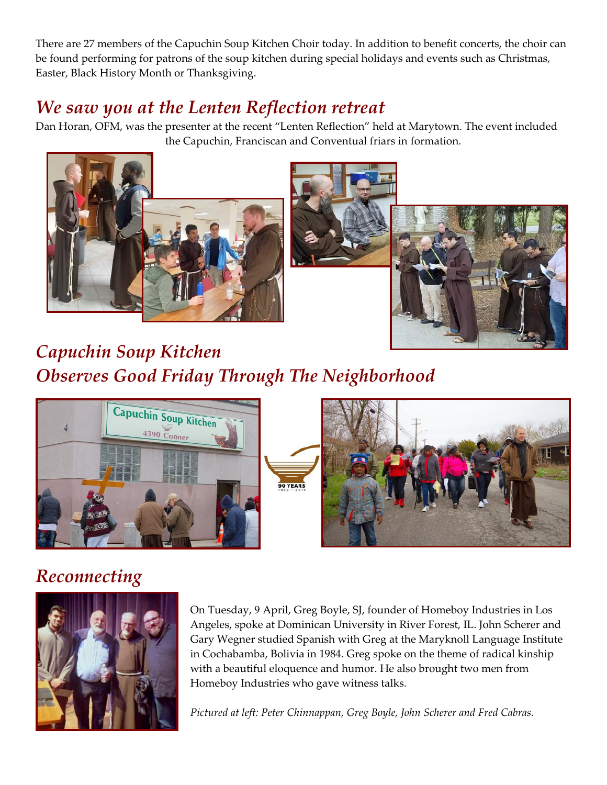There are 27 members of the Capuchin Soup Kitchen Choir today. In addition to benefit concerts, the choir can be found performing for patrons of the soup kitchen during special holidays and events such as Christmas, Easter, Black History Month or Thanksgiving.

# *We saw you at the Lenten Reflection retreat*

Dan Horan, OFM, was the presenter at the recent "Lenten Reflection" held at Marytown. The event included the Capuchin, Franciscan and Conventual friars in formation.





*Capuchin Soup Kitchen Observes Good Friday Through The Neighborhood*



# *Reconnecting*



On Tuesday, 9 April, Greg Boyle, SJ, founder of Homeboy Industries in Los Angeles, spoke at Dominican University in River Forest, IL. John Scherer and Gary Wegner studied Spanish with Greg at the Maryknoll Language Institute in Cochabamba, Bolivia in 1984. Greg spoke on the theme of radical kinship with a beautiful eloquence and humor. He also brought two men from Homeboy Industries who gave witness talks.

*Pictured at left: Peter Chinnappan, Greg Boyle, John Scherer and Fred Cabras.*